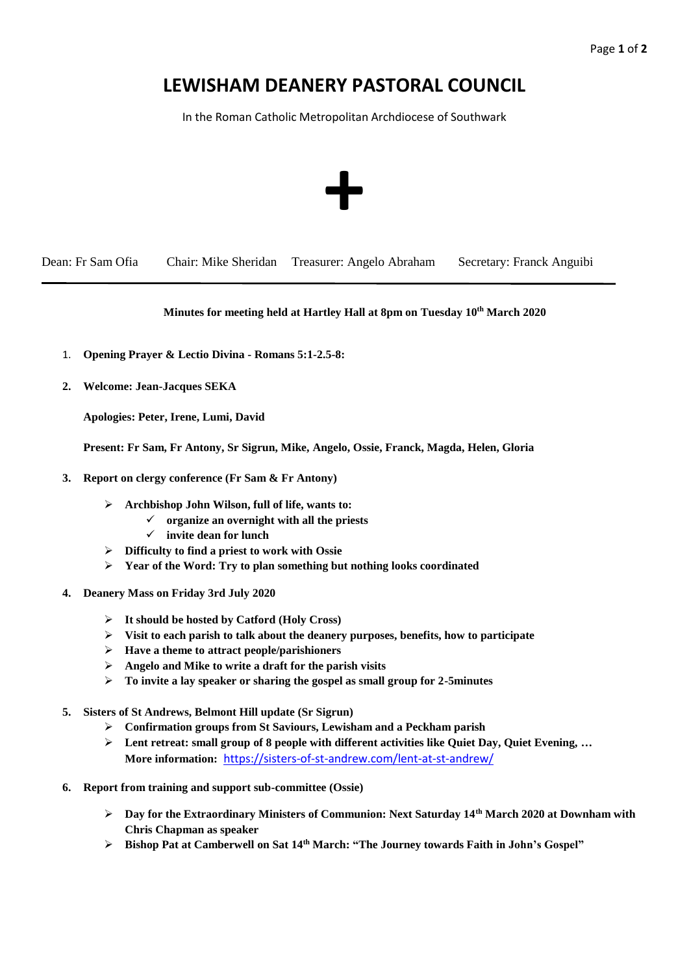## **LEWISHAM DEANERY PASTORAL COUNCIL**

In the Roman Catholic Metropolitan Archdiocese of Southwark



Dean: Fr Sam Ofia Chair: Mike Sheridan Treasurer: Angelo Abraham Secretary: Franck Anguibi

## **Minutes for meeting held at Hartley Hall at 8pm on Tuesday 10 th March 2020**

- 1. **Opening Prayer & Lectio Divina - Romans 5:1-2.5-8:**
- **2. Welcome: Jean-Jacques SEKA**

**Apologies: Peter, Irene, Lumi, David**

**Present: Fr Sam, Fr Antony, Sr Sigrun, Mike, Angelo, Ossie, Franck, Magda, Helen, Gloria**

- **3. Report on clergy conference (Fr Sam & Fr Antony)**
	- ➢ **Archbishop John Wilson, full of life, wants to:**
		- ✓ **organize an overnight with all the priests**
			- ✓ **invite dean for lunch**
	- ➢ **Difficulty to find a priest to work with Ossie**
	- ➢ **Year of the Word: Try to plan something but nothing looks coordinated**
- **4. Deanery Mass on Friday 3rd July 2020**
	- ➢ **It should be hosted by Catford (Holy Cross)**
	- ➢ **Visit to each parish to talk about the deanery purposes, benefits, how to participate**
	- ➢ **Have a theme to attract people/parishioners**
	- ➢ **Angelo and Mike to write a draft for the parish visits**
	- ➢ **To invite a lay speaker or sharing the gospel as small group for 2-5minutes**
- **5. Sisters of St Andrews, Belmont Hill update (Sr Sigrun)**
	- ➢ **Confirmation groups from St Saviours, Lewisham and a Peckham parish**
	- ➢ **Lent retreat: small group of 8 people with different activities like Quiet Day, Quiet Evening, … More information:** <https://sisters-of-st-andrew.com/lent-at-st-andrew/>
- **6. Report from training and support sub-committee (Ossie)**
	- ➢ **Day for the Extraordinary Ministers of Communion: Next Saturday 14th March 2020 at Downham with Chris Chapman as speaker**
	- ➢ **Bishop Pat at Camberwell on Sat 14th March: "The Journey towards Faith in John's Gospel"**